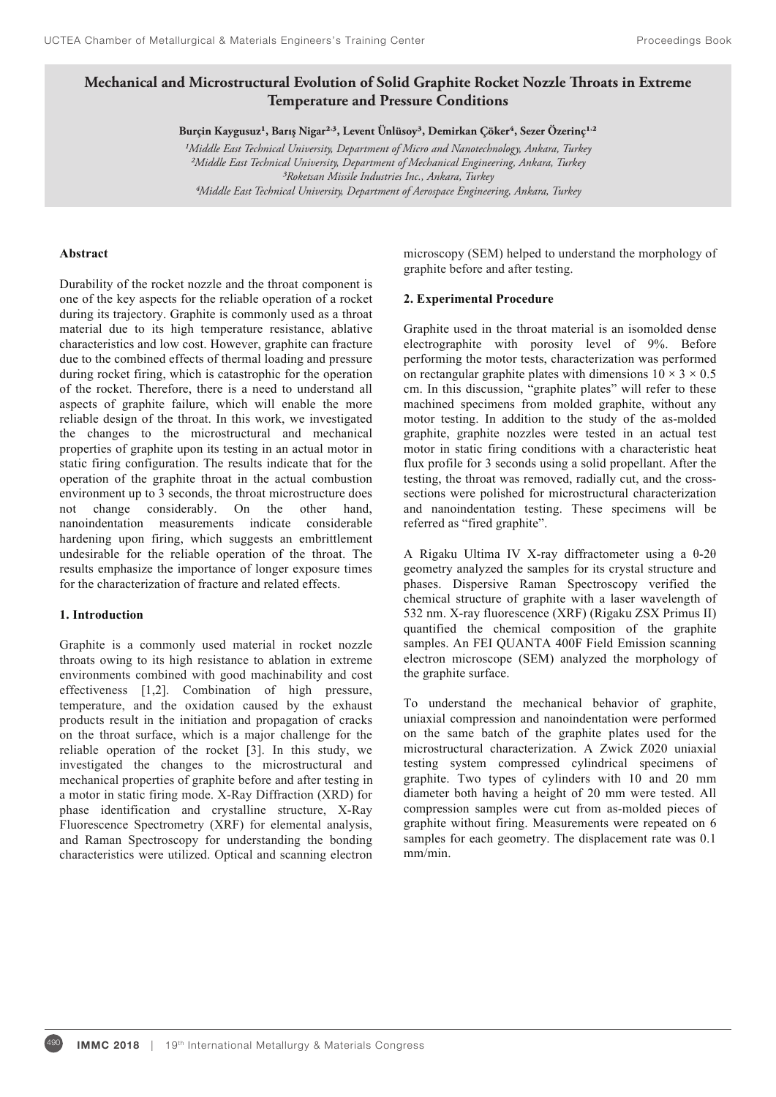# Mechanical and Microstructural Evolution of Solid Graphite Rocket Nozzle Throats in Extreme **Temperature and Pressure Conditions**

Burçin Kaygusuz<sup>1</sup>, Barış Nigar<sup>2,3</sup>, Levent Ünlüsoy<sup>3</sup>, Demirkan Çöker<sup>4</sup>, Sezer Özerinç<sup>1,2</sup>

*¹Middle East Technical University, Department of Micro and Nanotechnology, Ankara, Turkey ²Middle East Technical University, Department of Mechanical Engineering, Ankara, Turkey ³Roketsan Missile Industries Inc., Ankara, Turkey 4Middle East Technical University, Department of Aerospace Engineering, Ankara, Turkey*

# **Abstract**

Durability of the rocket nozzle and the throat component is one of the key aspects for the reliable operation of a rocket during its trajectory. Graphite is commonly used as a throat material due to its high temperature resistance, ablative characteristics and low cost. However, graphite can fracture due to the combined effects of thermal loading and pressure during rocket firing, which is catastrophic for the operation of the rocket. Therefore, there is a need to understand all aspects of graphite failure, which will enable the more reliable design of the throat. In this work, we investigated the changes to the microstructural and mechanical properties of graphite upon its testing in an actual motor in static firing configuration. The results indicate that for the operation of the graphite throat in the actual combustion environment up to 3 seconds, the throat microstructure does not change considerably. On the other hand, nanoindentation measurements indicate considerable hardening upon firing, which suggests an embrittlement undesirable for the reliable operation of the throat. The results emphasize the importance of longer exposure times for the characterization of fracture and related effects.

#### **1. Introduction**

Graphite is a commonly used material in rocket nozzle throats owing to its high resistance to ablation in extreme environments combined with good machinability and cost effectiveness [1,2]. Combination of high pressure, temperature, and the oxidation caused by the exhaust products result in the initiation and propagation of cracks on the throat surface, which is a major challenge for the reliable operation of the rocket [3]. In this study, we investigated the changes to the microstructural and mechanical properties of graphite before and after testing in a motor in static firing mode. X-Ray Diffraction (XRD) for phase identification and crystalline structure, X-Ray Fluorescence Spectrometry (XRF) for elemental analysis, and Raman Spectroscopy for understanding the bonding characteristics were utilized. Optical and scanning electron

microscopy (SEM) helped to understand the morphology of graphite before and after testing.

#### **2. Experimental Procedure**

Graphite used in the throat material is an isomolded dense electrographite with porosity level of 9%. Before performing the motor tests, characterization was performed on rectangular graphite plates with dimensions  $10 \times 3 \times 0.5$ cm. In this discussion, "graphite plates" will refer to these machined specimens from molded graphite, without any motor testing. In addition to the study of the as-molded graphite, graphite nozzles were tested in an actual test motor in static firing conditions with a characteristic heat flux profile for 3 seconds using a solid propellant. After the testing, the throat was removed, radially cut, and the crosssections were polished for microstructural characterization and nanoindentation testing. These specimens will be referred as "fired graphite".

A Rigaku Ultima IV X-ray diffractometer using a  $\theta$ -2 $\theta$ geometry analyzed the samples for its crystal structure and phases. Dispersive Raman Spectroscopy verified the chemical structure of graphite with a laser wavelength of 532 nm. X-ray fluorescence (XRF) (Rigaku ZSX Primus II) quantified the chemical composition of the graphite samples. An FEI QUANTA 400F Field Emission scanning electron microscope (SEM) analyzed the morphology of the graphite surface.

To understand the mechanical behavior of graphite, uniaxial compression and nanoindentation were performed on the same batch of the graphite plates used for the microstructural characterization. A Zwick Z020 uniaxial testing system compressed cylindrical specimens of graphite. Two types of cylinders with 10 and 20 mm diameter both having a height of 20 mm were tested. All compression samples were cut from as-molded pieces of graphite without firing. Measurements were repeated on 6 samples for each geometry. The displacement rate was 0.1 mm/min.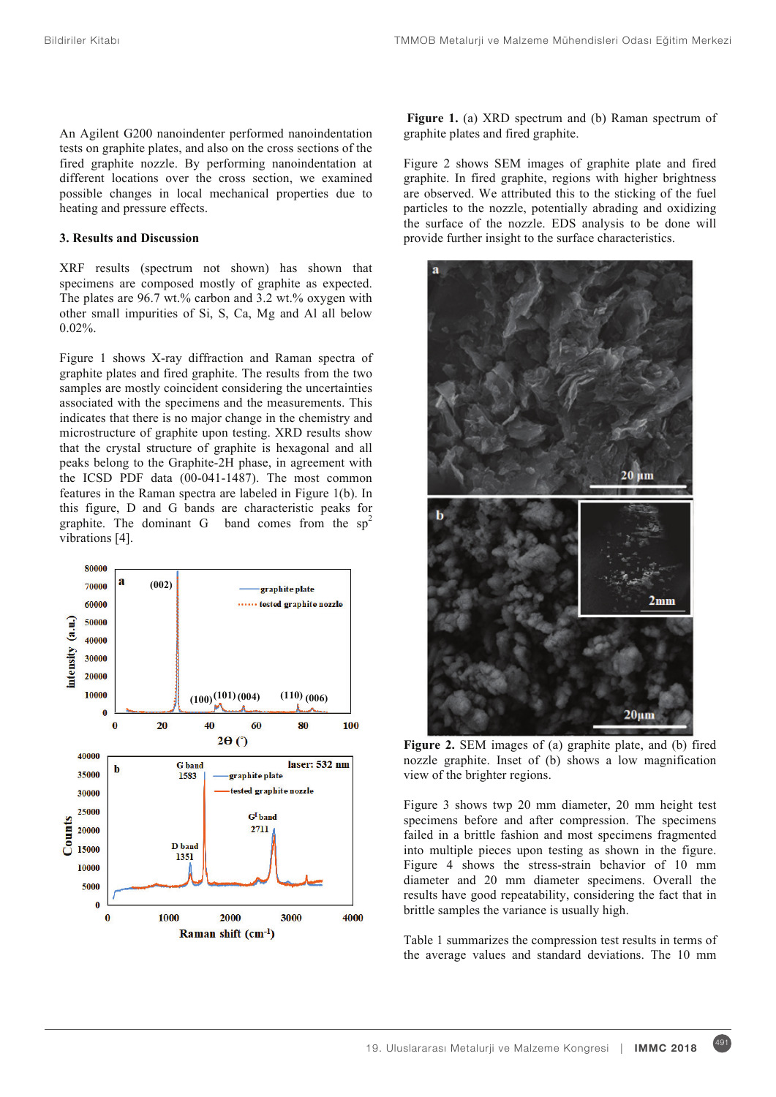An Agilent G200 nanoindenter performed nanoindentation tests on graphite plates, and also on the cross sections of the fired graphite nozzle. By performing nanoindentation at different locations over the cross section, we examined possible changes in local mechanical properties due to heating and pressure effects.

# **3. Results and Discussion**

XRF results (spectrum not shown) has shown that specimens are composed mostly of graphite as expected. The plates are 96.7 wt.% carbon and 3.2 wt.% oxygen with other small impurities of Si, S, Ca, Mg and Al all below 0.02%.

Figure 1 shows X-ray diffraction and Raman spectra of graphite plates and fired graphite. The results from the two samples are mostly coincident considering the uncertainties associated with the specimens and the measurements. This indicates that there is no major change in the chemistry and microstructure of graphite upon testing. XRD results show that the crystal structure of graphite is hexagonal and all peaks belong to the Graphite-2H phase, in agreement with the ICSD PDF data (00-041-1487). The most common features in the Raman spectra are labeled in Figure 1(b). In this figure, D and G bands are characteristic peaks for graphite. The dominant G band comes from the  $sp<sup>2</sup>$ vibrations [4].



**Figure 1.** (a) XRD spectrum and (b) Raman spectrum of graphite plates and fired graphite.

Figure 2 shows SEM images of graphite plate and fired graphite. In fired graphite, regions with higher brightness are observed. We attributed this to the sticking of the fuel particles to the nozzle, potentially abrading and oxidizing the surface of the nozzle. EDS analysis to be done will provide further insight to the surface characteristics.



**Figure 2.** SEM images of (a) graphite plate, and (b) fired nozzle graphite. Inset of (b) shows a low magnification view of the brighter regions.

Figure 3 shows twp 20 mm diameter, 20 mm height test specimens before and after compression. The specimens failed in a brittle fashion and most specimens fragmented into multiple pieces upon testing as shown in the figure. Figure 4 shows the stress-strain behavior of 10 mm diameter and 20 mm diameter specimens. Overall the results have good repeatability, considering the fact that in brittle samples the variance is usually high.

Table 1 summarizes the compression test results in terms of the average values and standard deviations. The 10 mm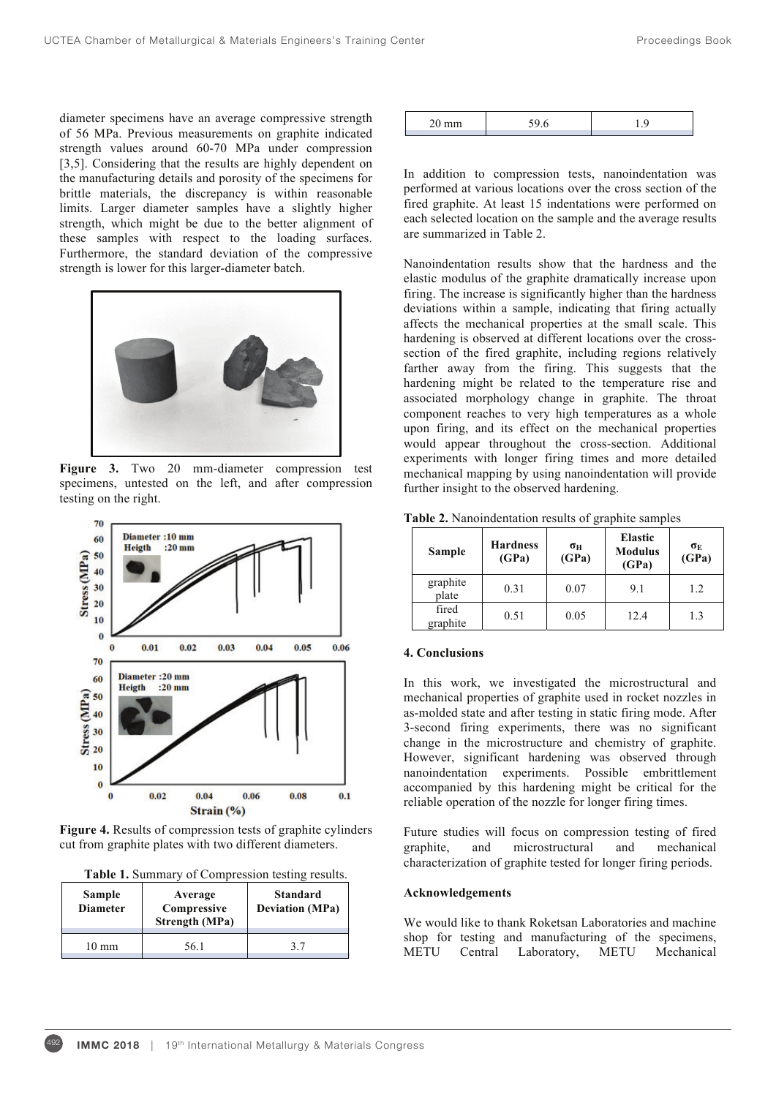diameter specimens have an average compressive strength of 56 MPa. Previous measurements on graphite indicated strength values around 60-70 MPa under compression [3,5]. Considering that the results are highly dependent on the manufacturing details and porosity of the specimens for brittle materials, the discrepancy is within reasonable limits. Larger diameter samples have a slightly higher strength, which might be due to the better alignment of these samples with respect to the loading surfaces. Furthermore, the standard deviation of the compressive strength is lower for this larger-diameter batch.



Figure 3. Two 20 mm-diameter compression test specimens, untested on the left, and after compression testing on the right.



**Figure 4.** Results of compression tests of graphite cylinders cut from graphite plates with two different diameters.

|  |  | Table 1. Summary of Compression testing results. |  |
|--|--|--------------------------------------------------|--|
|--|--|--------------------------------------------------|--|

| <b>Sample</b><br><b>Diameter</b> | Average<br>Compressive<br><b>Strength (MPa)</b> | <b>Standard</b><br><b>Deviation</b> (MPa) |
|----------------------------------|-------------------------------------------------|-------------------------------------------|
| 10 mm                            | 56 1                                            |                                           |

|--|--|

In addition to compression tests, nanoindentation was performed at various locations over the cross section of the fired graphite. At least 15 indentations were performed on each selected location on the sample and the average results are summarized in Table 2.

Nanoindentation results show that the hardness and the elastic modulus of the graphite dramatically increase upon firing. The increase is significantly higher than the hardness deviations within a sample, indicating that firing actually affects the mechanical properties at the small scale. This hardening is observed at different locations over the crosssection of the fired graphite, including regions relatively farther away from the firing. This suggests that the hardening might be related to the temperature rise and associated morphology change in graphite. The throat component reaches to very high temperatures as a whole upon firing, and its effect on the mechanical properties would appear throughout the cross-section. Additional experiments with longer firing times and more detailed mechanical mapping by using nanoindentation will provide further insight to the observed hardening.

**Table 2.** Nanoindentation results of graphite samples

| Sample            | <b>Hardness</b><br>(GPa) | σн<br>(GPa) | <b>Elastic</b><br><b>Modulus</b><br>(GPa) | $\sigma_{\rm E}$<br>(GPa) |
|-------------------|--------------------------|-------------|-------------------------------------------|---------------------------|
| graphite<br>plate | 0.31                     | 0.07        | 9.1                                       | 1.2                       |
| fired<br>graphite | 0.51                     | 0.05        | 12.4                                      | 13                        |

### **4. Conclusions**

In this work, we investigated the microstructural and mechanical properties of graphite used in rocket nozzles in as-molded state and after testing in static firing mode. After 3-second firing experiments, there was no significant change in the microstructure and chemistry of graphite. However, significant hardening was observed through nanoindentation experiments. Possible embrittlement accompanied by this hardening might be critical for the reliable operation of the nozzle for longer firing times.

Future studies will focus on compression testing of fired graphite, and microstructural and mechanical characterization of graphite tested for longer firing periods.

#### **Acknowledgements**

We would like to thank Roketsan Laboratories and machine shop for testing and manufacturing of the specimens, METU Central Laboratory, METU Mechanical